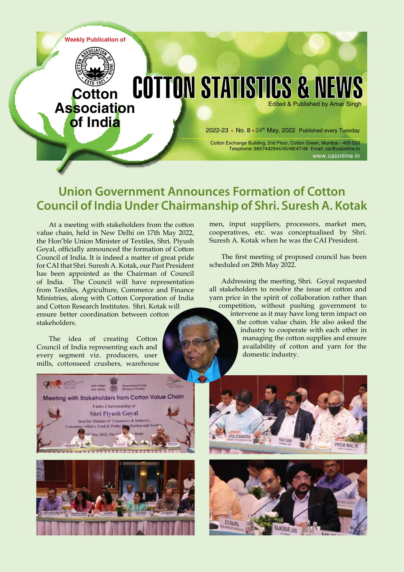

# **Union Government Announces Formation of Cotton Council of India Under Chairmanship of Shri. Suresh A. Kotak**

At a meeting with stakeholders from the cotton value chain, held in New Delhi on 17th May 2022, the Hon'ble Union Minister of Textiles, Shri. Piyush Goyal, officially announced the formation of Cotton Council of India. It is indeed a matter of great pride for CAI that Shri. Suresh A. Kotak, our Past President has been appointed as the Chairman of Council of India. The Council will have representation from Textiles, Agriculture, Commerce and Finance Ministries, along with Cotton Corporation of India and Cotton Research Institutes. Shri. Kotak will ensure better coordination between cotton stakeholders.

The idea of creating Cotton Council of India representing each and every segment viz. producers, user mills, cottonseed crushers, warehouse men, input suppliers, processors, market men, cooperatives, etc. was conceptualised by Shri. Suresh A. Kotak when he was the CAI President.

The first meeting of proposed council has been scheduled on 28th May 2022.

Addressing the meeting, Shri. Goyal requested all stakeholders to resolve the issue of cotton and yarn price in the spirit of collaboration rather than

competition, without pushing government to intervene as it may have long term impact on the cotton value chain. He also asked the industry to cooperate with each other in managing the cotton supplies and ensure availability of cotton and yarn for the domestic industry.







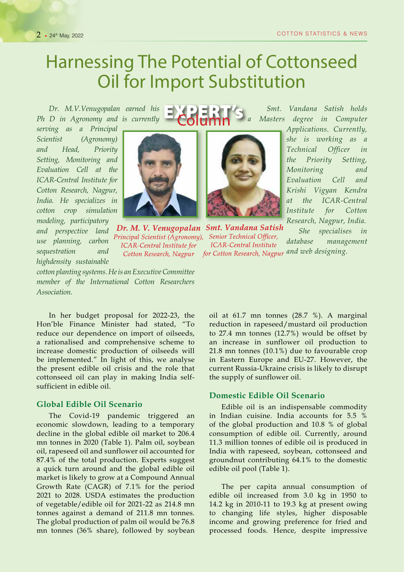# Harnessing The Potential of Cottonseed Oil for Import Substitution

*Dr. M.V.Venugopalan earned his Ph D in Agronomy and is currently* 

*serving as a Principal Scientist (Agronomy) and Head, Priority Setting, Monitoring and Evaluation Cell at the ICAR-Central Institute for Cotton Research, Nagpur, India. He specializes in cotton crop simulation modeling, participatory and perspective land use planning, carbon sequestration and highdensity sustainable* 



Dr. M. V. Venugopalan Smt. Vandana Satish Principal Scientist (Agronomy), Senior Technical Officer, ICAR-Central Institute for

 *Smt. Vandana Satish holds a Masters degree in Computer* 

> *Applications. Currently, she is working as a Technical Officer in the Priority Setting, Monitoring and Evaluation Cell and Krishi Vigyan Kendra at the ICAR-Central Institute for Cotton Research, Nagpur, India.*

*She specialises in database management*  **ICAR-Central Institute** Cotton Research, Nagpur for Cotton Research, Nagpur and web designing.

*cotton planting systems. He is an Executive Committee member of the International Cotton Researchers Association.*

In her budget proposal for 2022-23, the Hon'ble Finance Minister had stated, "To reduce our dependence on import of oilseeds, a rationalised and comprehensive scheme to increase domestic production of oilseeds will be implemented." In light of this, we analyse the present edible oil crisis and the role that cottonseed oil can play in making India selfsufficient in edible oil.

# **Global Edible Oil Scenario**

The Covid-19 pandemic triggered an economic slowdown, leading to a temporary decline in the global edible oil market to 206.4 mn tonnes in 2020 (Table 1). Palm oil, soybean oil, rapeseed oil and sunflower oil accounted for 87.4% of the total production. Experts suggest a quick turn around and the global edible oil market is likely to grow at a Compound Annual Growth Rate (CAGR) of 7.1% for the period 2021 to 2028. USDA estimates the production of vegetable/edible oil for 2021-22 as 214.8 mn tonnes against a demand of 211.8 mn tonnes. The global production of palm oil would be 76.8 mn tonnes (36% share), followed by soybean

oil at 61.7 mn tonnes (28.7 %). A marginal reduction in rapeseed/mustard oil production to 27.4 mn tonnes (12.7%) would be offset by an increase in sunflower oil production to 21.8 mn tonnes (10.1%) due to favourable crop in Eastern Europe and EU-27. However, the current Russia-Ukraine crisis is likely to disrupt the supply of sunflower oil.

#### **Domestic Edible Oil Scenario**

Edible oil is an indispensable commodity in Indian cuisine. India accounts for 5.5 % of the global production and 10.8 % of global consumption of edible oil. Currently, around 11.3 million tonnes of edible oil is produced in India with rapeseed, soybean, cottonseed and groundnut contributing 64.1% to the domestic edible oil pool (Table 1).

The per capita annual consumption of edible oil increased from 3.0 kg in 1950 to 14.2 kg in 2010-11 to 19.3 kg at present owing to changing life styles, higher disposable income and growing preference for fried and processed foods. Hence, despite impressive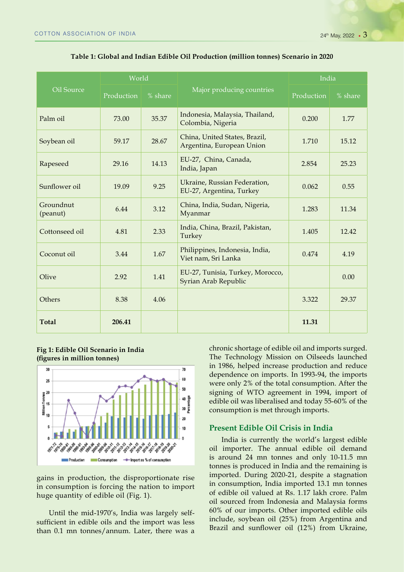|                       | World      |         |                                                            | India      |         |  |
|-----------------------|------------|---------|------------------------------------------------------------|------------|---------|--|
| Oil Source            | Production | % share | Major producing countries                                  | Production | % share |  |
| Palm oil              | 73.00      | 35.37   | Indonesia, Malaysia, Thailand,<br>Colombia, Nigeria        | 0.200      | 1.77    |  |
| Soybean oil           | 59.17      | 28.67   | China, United States, Brazil,<br>Argentina, European Union | 1.710      | 15.12   |  |
| Rapeseed              | 29.16      | 14.13   | EU-27, China, Canada,<br>India, Japan                      | 2.854      | 25.23   |  |
| Sunflower oil         | 19.09      | 9.25    | Ukraine, Russian Federation,<br>EU-27, Argentina, Turkey   | 0.062      | 0.55    |  |
| Groundnut<br>(peanut) | 6.44       | 3.12    | China, India, Sudan, Nigeria,<br>Myanmar                   | 1.283      | 11.34   |  |
| Cottonseed oil        | 4.81       | 2.33    | India, China, Brazil, Pakistan,<br>Turkey                  | 1.405      | 12.42   |  |
| Coconut oil           | 3.44       | 1.67    | Philippines, Indonesia, India,<br>Viet nam, Sri Lanka      | 0.474      | 4.19    |  |
| Olive                 | 2.92       | 1.41    | EU-27, Tunisia, Turkey, Morocco,<br>Syrian Arab Republic   |            | 0.00    |  |
| Others                | 8.38       | 4.06    |                                                            | 3.322      | 29.37   |  |
| <b>Total</b>          | 206.41     |         |                                                            | 11.31      |         |  |

#### **Table 1: Global and Indian Edible Oil Production (million tonnes) Scenario in 2020**

# **Fig 1: Edible Oil Scenario in India (figures in million tonnes)**



gains in production, the disproportionate rise in consumption is forcing the nation to import huge quantity of edible oil (Fig. 1).

Until the mid-1970's, India was largely selfsufficient in edible oils and the import was less than 0.1 mn tonnes/annum. Later, there was a chronic shortage of edible oil and imports surged. The Technology Mission on Oilseeds launched in 1986, helped increase production and reduce dependence on imports. In 1993-94, the imports were only 2% of the total consumption. After the signing of WTO agreement in 1994, import of edible oil was liberalised and today 55-60% of the consumption is met through imports.

# **Present Edible Oil Crisis in India**

India is currently the world's largest edible oil importer. The annual edible oil demand is around 24 mn tonnes and only 10-11.5 mn tonnes is produced in India and the remaining is imported. During 2020-21, despite a stagnation in consumption, India imported 13.1 mn tonnes of edible oil valued at Rs. 1.17 lakh crore. Palm oil sourced from Indonesia and Malaysia forms 60% of our imports. Other imported edible oils include, soybean oil (25%) from Argentina and Brazil and sunflower oil (12%) from Ukraine,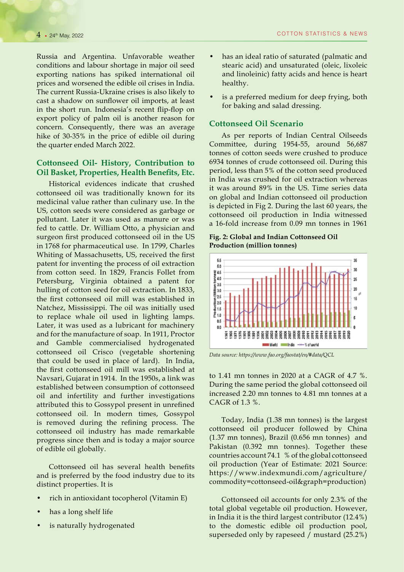Russia and Argentina. Unfavorable weather conditions and labour shortage in major oil seed exporting nations has spiked international oil prices and worsened the edible oil crises in India. The current Russia-Ukraine crises is also likely to cast a shadow on sunflower oil imports, at least in the short run. Indonesia's recent flip-flop on export policy of palm oil is another reason for concern. Consequently, there was an average hike of 30-35% in the price of edible oil during the quarter ended March 2022.

### **Cottonseed Oil- History, Contribution to Oil Basket, Properties, Health Benefits, Etc.**

Historical evidences indicate that crushed cottonseed oil was traditionally known for its medicinal value rather than culinary use. In the US, cotton seeds were considered as garbage or pollutant. Later it was used as manure or was fed to cattle. Dr. William Otto, a physician and surgeon first produced cottonseed oil in the US in 1768 for pharmaceutical use. In 1799, Charles Whiting of Massachusetts, US, received the first patent for inventing the process of oil extraction from cotton seed. In 1829, Francis Follet from Petersburg, Virginia obtained a patent for hulling of cotton seed for oil extraction. In 1833, the first cottonseed oil mill was established in Natchez, Mississippi. The oil was initially used to replace whale oil used in lighting lamps. Later, it was used as a lubricant for machinery and for the manufacture of soap. In 1911, Proctor and Gamble commercialised hydrogenated cottonseed oil Crisco (vegetable shortening that could be used in place of lard). In India, the first cottonseed oil mill was established at Navsari, Gujarat in 1914. In the 1950s, a link was established between consumption of cottonseed oil and infertility and further investigations attributed this to Gossypol present in unrefined cottonseed oil. In modern times, Gossypol is removed during the refining process. The cottonseed oil industry has made remarkable progress since then and is today a major source of edible oil globally.

Cottonseed oil has several health benefits and is preferred by the food industry due to its distinct properties. It is

- rich in antioxidant tocopherol (Vitamin E)
- has a long shelf life
- is naturally hydrogenated
- has an ideal ratio of saturated (palmatic and stearic acid) and unsaturated (oleic, lixoleic and linoleinic) fatty acids and hence is heart healthy.
- is a preferred medium for deep frying, both for baking and salad dressing.

### **Cottonseed Oil Scenario**

As per reports of Indian Central Oilseeds Committee, during 1954-55, around 56,687 tonnes of cotton seeds were crushed to produce 6934 tonnes of crude cottonseed oil. During this period, less than 5% of the cotton seed produced in India was crushed for oil extraction whereas it was around 89% in the US. Time series data on global and Indian cottonseed oil production is depicted in Fig 2. During the last 60 years, the cottonseed oil production in India witnessed a 16-fold increase from 0.09 mn tonnes in 1961

**Fig. 2: Global and Indian Cottonseed Oil Production (million tonnes)** 



*Data source: https://www.fao.org/faostat/en/#data/QCL*

to 1.41 mn tonnes in 2020 at a CAGR of 4.7 %. During the same period the global cottonseed oil increased 2.20 mn tonnes to 4.81 mn tonnes at a CAGR of 1.3 %.

Today, India (1.38 mn tonnes) is the largest cottonseed oil producer followed by China (1.37 mn tonnes), Brazil (0.656 mn tonnes) and Pakistan (0.392 mn tonnes). Together these countries account 74.1 % of the global cottonseed oil production (Year of Estimate: 2021 Source: https://www.indexmundi.com/agriculture/ commodity=cottonseed-oil&graph=production)

Cottonseed oil accounts for only 2.3% of the total global vegetable oil production. However, in India it is the third largest contributor (12.4%) to the domestic edible oil production pool, superseded only by rapeseed / mustard (25.2%)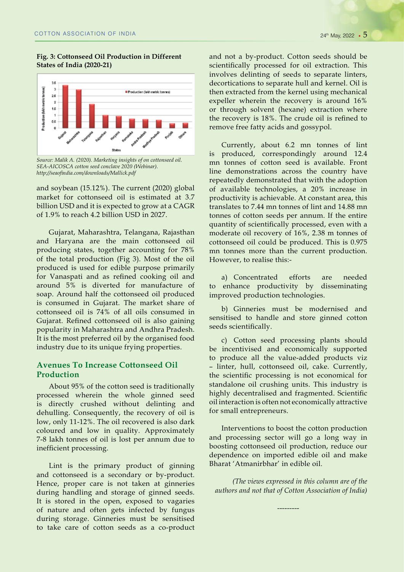#### **Fig. 3: Cottonseed Oil Production in Different States of India (2020-21)**



*Source: Malik A. (2020). Marketing insights of on cottonseed oil. SEA-AICOSCA cotton seed conclave 2020 (Webinar). http://seaofindia.com/downloads/Mallick.pdf*

and soybean (15.12%). The current (2020) global market for cottonseed oil is estimated at 3.7 billion USD and it is expected to grow at a CAGR of 1.9% to reach 4.2 billion USD in 2027.

Gujarat, Maharashtra, Telangana, Rajasthan and Haryana are the main cottonseed oil producing states, together accounting for 78% of the total production (Fig 3). Most of the oil produced is used for edible purpose primarily for Vanaspati and as refined cooking oil and around 5% is diverted for manufacture of soap. Around half the cottonseed oil produced is consumed in Gujarat. The market share of cottonseed oil is 74% of all oils consumed in Gujarat. Refined cottonseed oil is also gaining popularity in Maharashtra and Andhra Pradesh. It is the most preferred oil by the organised food industry due to its unique frying properties.

# **Avenues To Increase Cottonseed Oil Production**

About 95% of the cotton seed is traditionally processed wherein the whole ginned seed is directly crushed without delinting and dehulling. Consequently, the recovery of oil is low, only 11-12%. The oil recovered is also dark coloured and low in quality. Approximately 7-8 lakh tonnes of oil is lost per annum due to inefficient processing.

Lint is the primary product of ginning and cottonseed is a secondary or by-product. Hence, proper care is not taken at ginneries during handling and storage of ginned seeds. It is stored in the open, exposed to vagaries of nature and often gets infected by fungus during storage. Ginneries must be sensitised to take care of cotton seeds as a co-product and not a by-product. Cotton seeds should be scientifically processed for oil extraction. This involves delinting of seeds to separate linters, decortications to separate hull and kernel. Oil is then extracted from the kernel using mechanical expeller wherein the recovery is around 16% or through solvent (hexane) extraction where the recovery is 18%. The crude oil is refined to remove free fatty acids and gossypol.

Currently, about 6.2 mn tonnes of lint is produced, correspondingly around 12.4 mn tonnes of cotton seed is available. Front line demonstrations across the country have repeatedly demonstrated that with the adoption of available technologies, a 20% increase in productivity is achievable. At constant area, this translates to 7.44 mn tonnes of lint and 14.88 mn tonnes of cotton seeds per annum. If the entire quantity of scientifically processed, even with a moderate oil recovery of 16%, 2.38 m tonnes of cottonseed oil could be produced. This is 0.975 mn tonnes more than the current production. However, to realise this:-

a) Concentrated efforts are needed to enhance productivity by disseminating improved production technologies.

b) Ginneries must be modernised and sensitised to handle and store ginned cotton seeds scientifically.

c) Cotton seed processing plants should be incentivised and economically supported to produce all the value-added products viz – linter, hull, cottonseed oil, cake. Currently, the scientific processing is not economical for standalone oil crushing units. This industry is highly decentralised and fragmented. Scientific oil interaction is often not economically attractive for small entrepreneurs.

Interventions to boost the cotton production and processing sector will go a long way in boosting cottonseed oil production, reduce our dependence on imported edible oil and make Bharat 'Atmanirbhar' in edible oil.

*(The views expressed in this column are of the authors and not that of Cotton Association of India)*

---------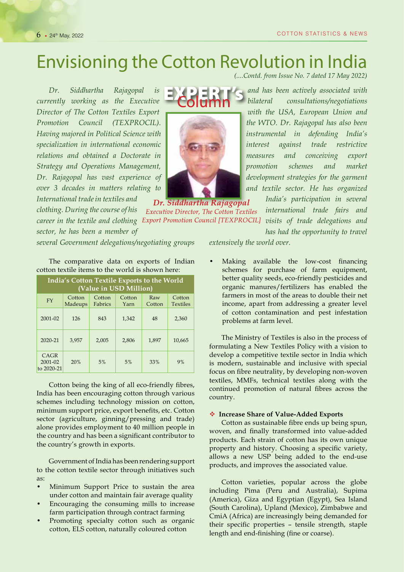# Envisioning the Cotton Revolution in India

*(....Contd. from Issue No. 7 dated 17 May 2022)*

*Dr. Siddhartha Rajagopal is currently working as the Executive Director of The Cotton Textiles Export Promotion Council (TEXPROCIL). Having majored in Political Science with specialization in international economic relations and obtained a Doctorate in Strategy and Operations Management, Dr. Rajagopal has vast experience of over 3 decades in matters relating to International trade in textiles and* 

*clothing. During the course of his* 

*sector, he has been a member of* 



Dr. Siddhartha Rajagopal Executive Director, The Cotton Textiles career in the textile and clothing Export Promotion Council [TEXPROCIL] visits of trade delegations and

*and has been actively associated with bilateral consultations/negotiations with the USA, European Union and the WTO. Dr. Rajagopal has also been instrumental in defending India's interest against trade restrictive measures and conceiving export promotion schemes and market development strategies for the garment and textile sector. He has organized* 

> *India's participation in several international trade fairs and*

*has had the opportunity to travel* 

*several Government delegations/negotiating groups* 

The comparative data on exports of Indian cotton textile items to the world is shown here:

| India's Cotton Textile Exports to the World<br>(Value in USD Million) |                   |                   |                |               |                           |  |  |  |  |
|-----------------------------------------------------------------------|-------------------|-------------------|----------------|---------------|---------------------------|--|--|--|--|
| FY                                                                    | Cotton<br>Madeups | Cotton<br>Fabrics | Cotton<br>Yarn | Raw<br>Cotton | Cotton<br><b>Textiles</b> |  |  |  |  |
| $2001 - 02$                                                           | 126               | 843               | 1.342          | 48            | 2,360                     |  |  |  |  |
| $2020 - 21$                                                           | 3,957             | 2,005             | 2,806          | 1,897         | 10,665                    |  |  |  |  |
| CAGR<br>2001-02<br>to 2020-21                                         | 20%               | 5%                | 5%             | 33%           | 9%                        |  |  |  |  |

Cotton being the king of all eco-friendly fibres, India has been encouraging cotton through various schemes including technology mission on cotton, minimum support price, export benefits, etc. Cotton sector (agriculture, ginning/pressing and trade) alone provides employment to 40 million people in the country and has been a significant contributor to the country's growth in exports.

Government of India has been rendering support to the cotton textile sector through initiatives such as:

- Minimum Support Price to sustain the area under cotton and maintain fair average quality
- Encouraging the consuming mills to increase farm participation through contract farming
- Promoting specialty cotton such as organic cotton, ELS cotton, naturally coloured cotton

*extensively the world over.*

• Making available the low-cost financing schemes for purchase of farm equipment, better quality seeds, eco-friendly pesticides and organic manures/fertilizers has enabled the farmers in most of the areas to double their net income, apart from addressing a greater level of cotton contamination and pest infestation problems at farm level.

The Ministry of Textiles is also in the process of formulating a New Textiles Policy with a vision to develop a competitive textile sector in India which is modern, sustainable and inclusive with special focus on fibre neutrality, by developing non-woven textiles, MMFs, technical textiles along with the continued promotion of natural fibres across the country.

#### **Increase Share of Value-Added Exports**

Cotton as sustainable fibre ends up being spun, woven, and finally transformed into value-added products. Each strain of cotton has its own unique property and history. Choosing a specific variety, allows a new USP being added to the end-use products, and improves the associated value.

Cotton varieties, popular across the globe including Pima (Peru and Australia), Supima (America), Giza and Egyptian (Egypt), Sea Island (South Carolina), Upland (Mexico), Zimbabwe and CmiA (Africa) are increasingly being demanded for their specific properties – tensile strength, staple length and end-finishing (fine or coarse).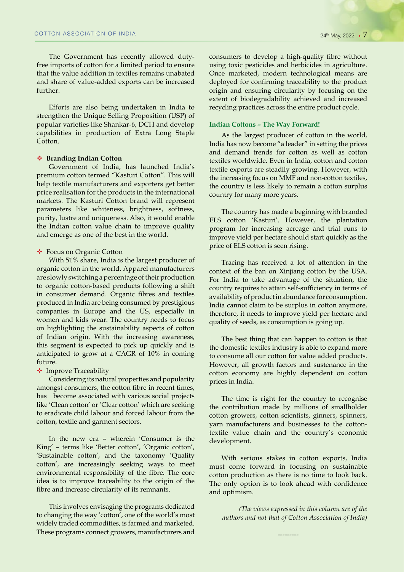The Government has recently allowed dutyfree imports of cotton for a limited period to ensure that the value addition in textiles remains unabated and share of value-added exports can be increased further.

Efforts are also being undertaken in India to strengthen the Unique Selling Proposition (USP) of popular varieties like Shankar-6, DCH and develop capabilities in production of Extra Long Staple Cotton.

#### **Branding Indian Cotton**

Government of India, has launched India's premium cotton termed "Kasturi Cotton". This will help textile manufacturers and exporters get better price realisation for the products in the international markets. The Kasturi Cotton brand will represent parameters like whiteness, brightness, softness, purity, lustre and uniqueness. Also, it would enable the Indian cotton value chain to improve quality and emerge as one of the best in the world.

#### ◆ Focus on Organic Cotton

With 51% share, India is the largest producer of organic cotton in the world. Apparel manufacturers are slowly switching a percentage of their production to organic cotton-based products following a shift in consumer demand. Organic fibres and textiles produced in India are being consumed by prestigious companies in Europe and the US, especially in women and kids wear. The country needs to focus on highlighting the sustainability aspects of cotton of Indian origin. With the increasing awareness, this segment is expected to pick up quickly and is anticipated to grow at a CAGR of 10% in coming future.

#### **❖** Improve Traceability

Considering its natural properties and popularity amongst consumers, the cotton fibre in recent times, has become associated with various social projects like 'Clean cotton' or 'Clear cotton' which are seeking to eradicate child labour and forced labour from the cotton, textile and garment sectors.

In the new era – wherein 'Consumer is the King' – terms like 'Better cotton', 'Organic cotton', 'Sustainable cotton', and the taxonomy 'Quality cotton', are increasingly seeking ways to meet environmental responsibility of the fibre. The core idea is to improve traceability to the origin of the fibre and increase circularity of its remnants.

This involves envisaging the programs dedicated to changing the way 'cotton', one of the world's most widely traded commodities, is farmed and marketed. These programs connect growers, manufacturers and consumers to develop a high-quality fibre without using toxic pesticides and herbicides in agriculture. Once marketed, modern technological means are deployed for confirming traceability to the product origin and ensuring circularity by focusing on the extent of biodegradability achieved and increased recycling practices across the entire product cycle.

#### **Indian Cottons – The Way Forward!**

As the largest producer of cotton in the world, India has now become "a leader" in setting the prices and demand trends for cotton as well as cotton textiles worldwide. Even in India, cotton and cotton textile exports are steadily growing. However, with the increasing focus on MMF and non-cotton textiles, the country is less likely to remain a cotton surplus country for many more years.

The country has made a beginning with branded ELS cotton 'Kasturi'. However, the plantation program for increasing acreage and trial runs to improve yield per hectare should start quickly as the price of ELS cotton is seen rising.

Tracing has received a lot of attention in the context of the ban on Xinjiang cotton by the USA. For India to take advantage of the situation, the country requires to attain self-sufficiency in terms of availability of product in abundance for consumption. India cannot claim to be surplus in cotton anymore, therefore, it needs to improve yield per hectare and quality of seeds, as consumption is going up.

The best thing that can happen to cotton is that the domestic textiles industry is able to expand more to consume all our cotton for value added products. However, all growth factors and sustenance in the cotton economy are highly dependent on cotton prices in India.

The time is right for the country to recognise the contribution made by millions of smallholder cotton growers, cotton scientists, ginners, spinners, yarn manufacturers and businesses to the cottontextile value chain and the country's economic development.

With serious stakes in cotton exports, India must come forward in focusing on sustainable cotton production as there is no time to look back. The only option is to look ahead with confidence and optimism.

*(The views expressed in this column are of the authors and not that of Cotton Association of India)*

---------